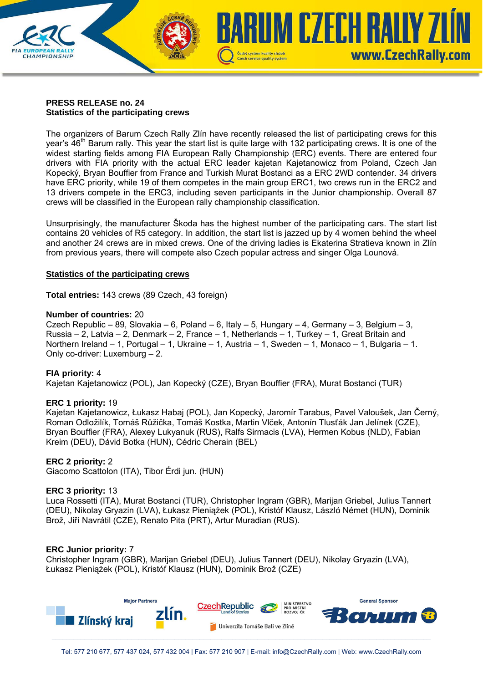# **PRESS RELEASE no. 24 Statistics of the participating crews**

**CHAMPIONSHIP** 

The organizers of Barum Czech Rally Zlín have recently released the list of participating crews for this year's 46<sup>th</sup> Barum rally. This year the start list is quite large with 132 participating crews. It is one of the widest starting fields among FIA European Rally Championship (ERC) events. There are entered four drivers with FIA priority with the actual ERC leader kajetan Kajetanowicz from Poland, Czech Jan Kopecký, Bryan Bouffier from France and Turkish Murat Bostanci as a ERC 2WD contender. 34 drivers have ERC priority, while 19 of them competes in the main group ERC1, two crews run in the ERC2 and 13 drivers compete in the ERC3, including seven participants in the Junior championship. Overall 87 crews will be classified in the European rally championship classification.

Czech service quality system

**RUM CZECH RAILY ZI** 

www.CzechRally.com

Unsurprisingly, the manufacturer Škoda has the highest number of the participating cars. The start list contains 20 vehicles of R5 category. In addition, the start list is jazzed up by 4 women behind the wheel and another 24 crews are in mixed crews. One of the driving ladies is Ekaterina Stratieva known in Zlín from previous years, there will compete also Czech popular actress and singer Olga Lounová.

### **Statistics of the participating crews**

**Total entries:** 143 crews (89 Czech, 43 foreign)

### **Number of countries:** 20

Czech Republic – 89, Slovakia – 6, Poland – 6, Italy – 5, Hungary – 4, Germany – 3, Belgium – 3, Russia – 2, Latvia – 2, Denmark – 2, France – 1, Netherlands – 1, Turkey – 1, Great Britain and Northern Ireland – 1, Portugal – 1, Ukraine – 1, Austria – 1, Sweden – 1, Monaco – 1, Bulgaria – 1. Only co-driver: Luxemburg – 2.

#### **FIA priority:** 4

Kajetan Kajetanowicz (POL), Jan Kopecký (CZE), Bryan Bouffier (FRA), Murat Bostanci (TUR)

# **ERC 1 priority:** 19

Kajetan Kajetanowicz, Łukasz Habaj (POL), Jan Kopecký, Jaromír Tarabus, Pavel Valoušek, Jan Černý, Roman Odložilík, Tomáš Růžička, Tomáš Kostka, Martin Vlček, Antonín Tlusťák Jan Jelínek (CZE), Bryan Bouffier (FRA), Alexey Lukyanuk (RUS), Ralfs Sirmacis (LVA), Hermen Kobus (NLD), Fabian Kreim (DEU), Dávid Botka (HUN), Cédric Cherain (BEL)

# **ERC 2 priority:** 2

Giacomo Scattolon (ITA), Tibor Érdi jun. (HUN)

#### **ERC 3 priority:** 13

Luca Rossetti (ITA), Murat Bostanci (TUR), Christopher Ingram (GBR), Marijan Griebel, Julius Tannert (DEU), Nikolay Gryazin (LVA), Łukasz Pieniążek (POL), Kristóf Klausz, László Német (HUN), Dominik Brož, Jiří Navrátil (CZE), Renato Pita (PRT), Artur Muradian (RUS).

# **ERC Junior priority:** 7

Christopher Ingram (GBR), Marijan Griebel (DEU), Julius Tannert (DEU), Nikolay Gryazin (LVA), Łukasz Pieniążek (POL), Kristóf Klausz (HUN), Dominik Brož (CZE)